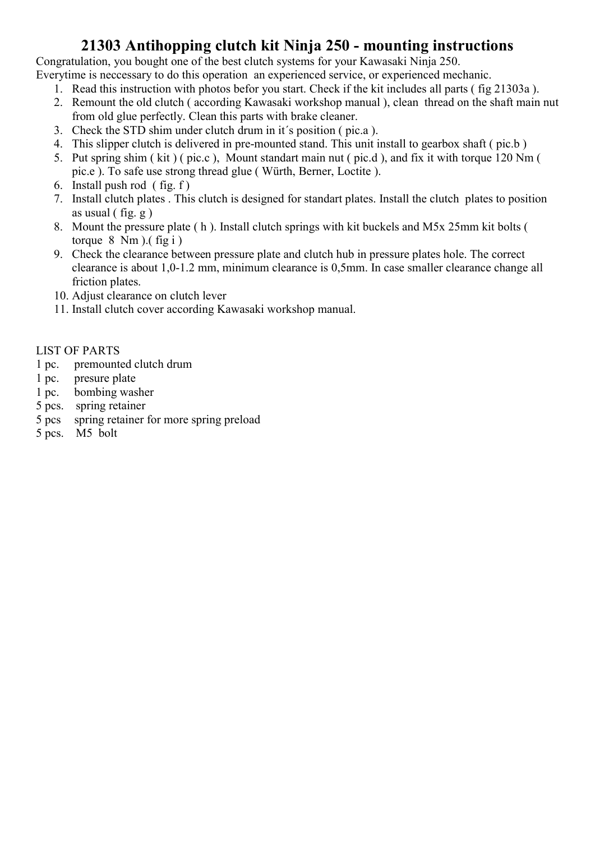## 21303 Antihopping clutch kit Ninja 250 - mounting instructions

Congratulation, you bought one of the best clutch systems for your Kawasaki Ninja 250.

- Everytime is neccessary to do this operation an experienced service, or experienced mechanic.
	- 1. Read this instruction with photos befor you start. Check if the kit includes all parts ( fig 21303a ).
	- 2. Remount the old clutch ( according Kawasaki workshop manual ), clean thread on the shaft main nut from old glue perfectly. Clean this parts with brake cleaner.
	- 3. Check the STD shim under clutch drum in it´s position ( pic.a ).
	- 4. This slipper clutch is delivered in pre-mounted stand. This unit install to gearbox shaft ( pic.b )
	- 5. Put spring shim ( kit ) ( pic.c ), Mount standart main nut ( pic.d ), and fix it with torque 120 Nm ( pic.e ). To safe use strong thread glue ( Würth, Berner, Loctite ).
	- 6. Install push rod  $(\text{fig. f})$
	- 7. Install clutch plates . This clutch is designed for standart plates. Install the clutch plates to position as usual  $(\text{fig. g})$
	- 8. Mount the pressure plate ( h ). Install clutch springs with kit buckels and M5x 25mm kit bolts ( torque  $8 \text{ Nm}$ ).(fig i)
	- 9. Check the clearance between pressure plate and clutch hub in pressure plates hole. The correct clearance is about 1,0-1.2 mm, minimum clearance is 0,5mm. In case smaller clearance change all friction plates.
	- 10. Adjust clearance on clutch lever
	- 11. Install clutch cover according Kawasaki workshop manual.

#### LIST OF PARTS

- 1 pc. premounted clutch drum
- 1 pc. presure plate
- 1 pc. bombing washer
- 5 pcs. spring retainer
- 5 pcs spring retainer for more spring preload
- 5 pcs. M5 bolt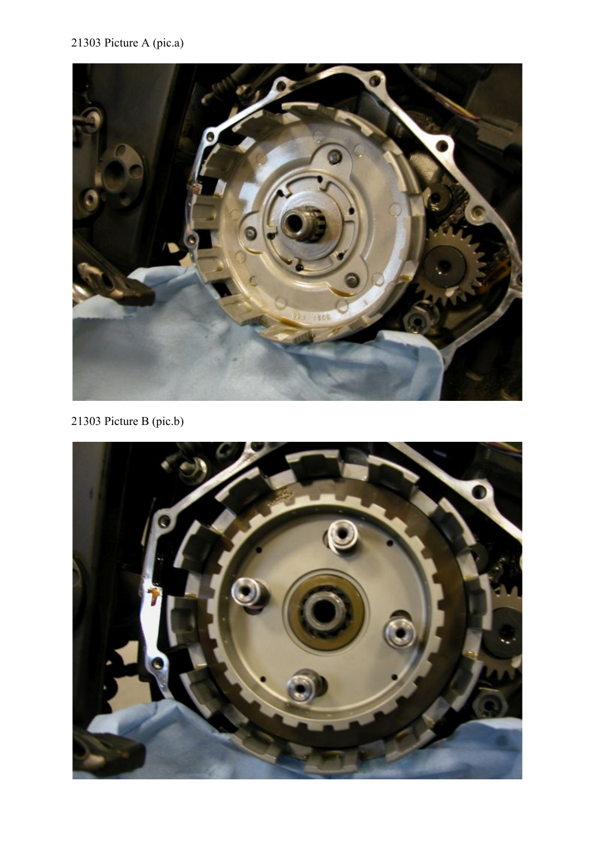## 21303 Picture A (pic.a)



21303 Picture B (pic.b)

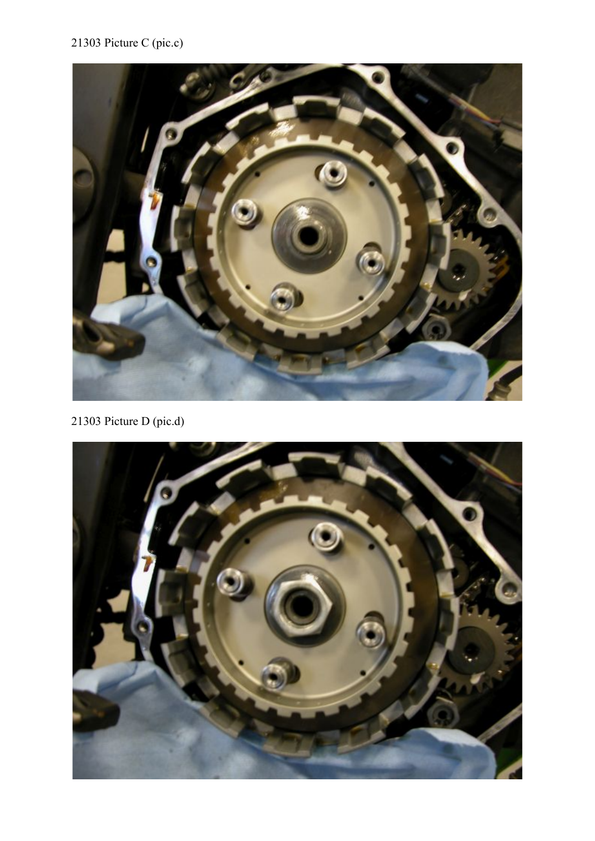## 21303 Picture C (pic.c)



21303 Picture D (pic.d)

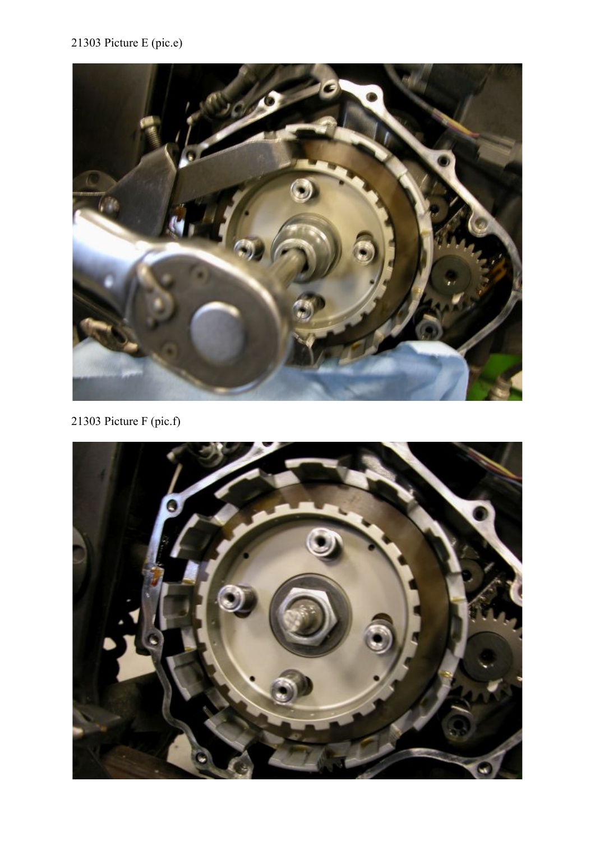## 21303 Picture E (pic.e)



21303 Picture F (pic.f)

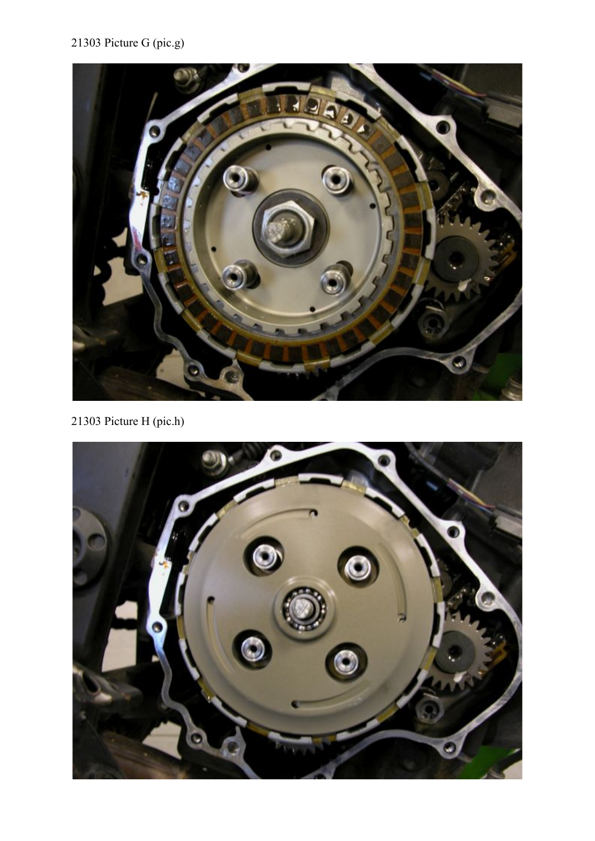# 21303 Picture G (pic.g)



21303 Picture H (pic.h)